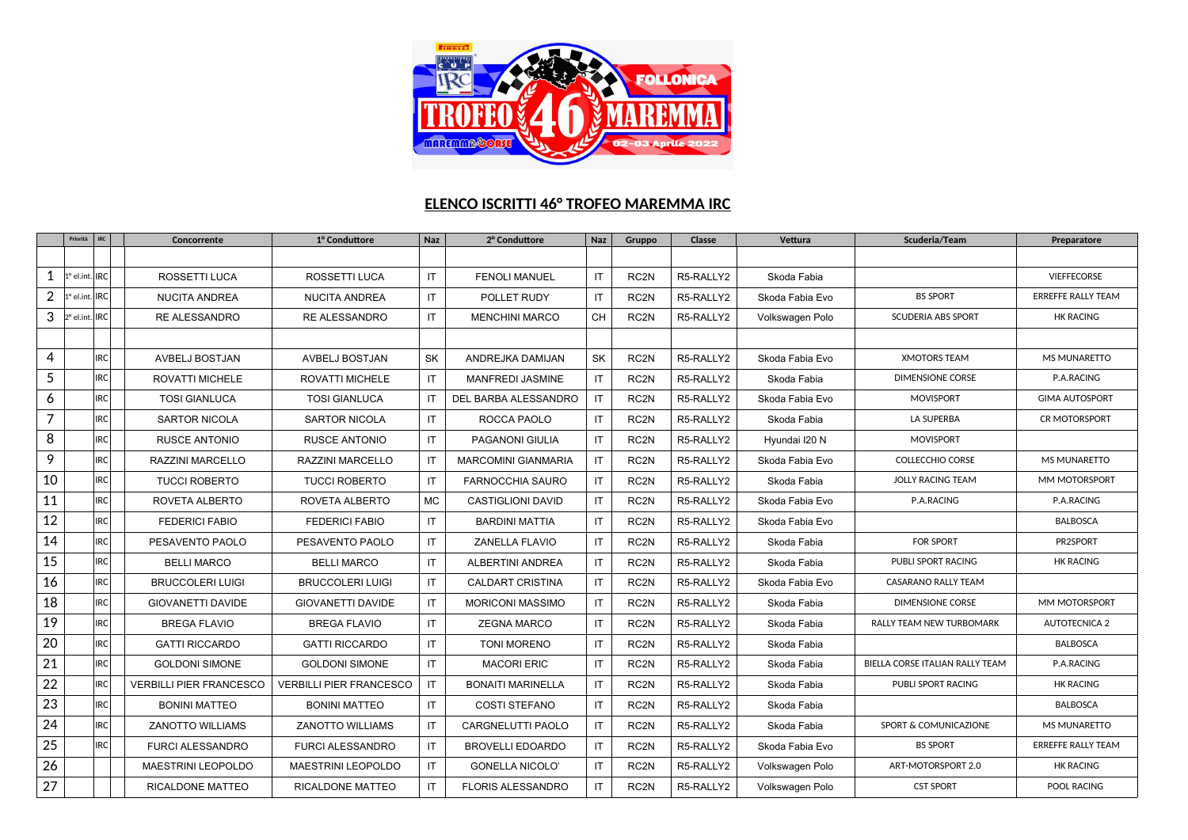

## **ELENCO ISCRITTI 46° TROFEO MAREMMA IRC**

|                | Priorità                     | <b>IRC</b> | Concorrente                    | 1º Conduttore                  | <b>Naz</b> | 2º Conduttore              | Naz          | Gruppo           | Classe    | Vettura         | Scuderia/Team                   | Preparatore               |
|----------------|------------------------------|------------|--------------------------------|--------------------------------|------------|----------------------------|--------------|------------------|-----------|-----------------|---------------------------------|---------------------------|
|                |                              |            |                                |                                |            |                            |              |                  |           |                 |                                 |                           |
| 1              | 1º el.int.                   | <b>IRC</b> | ROSSETTI LUCA                  | ROSSETTI LUCA                  | IT         | <b>FENOLI MANUEL</b>       | IT.          | RC <sub>2N</sub> | R5-RALLY2 | Skoda Fabia     |                                 | <b>VIEFFECORSE</b>        |
| $\overline{2}$ | 1° el.int                    | <b>IRC</b> | <b>NUCITA ANDREA</b>           | <b>NUCITA ANDREA</b>           | IT         | POLLET RUDY                | IT           | RC <sub>2N</sub> | R5-RALLY2 | Skoda Fabia Evo | <b>BS SPORT</b>                 | <b>ERREFFE RALLY TEAM</b> |
| 3              | $ 2^{\circ}$ el.int. $ $ IRC |            | <b>RE ALESSANDRO</b>           | <b>RE ALESSANDRO</b>           | IT         | <b>MENCHINI MARCO</b>      | <b>CH</b>    | RC <sub>2N</sub> | R5-RALLY2 | Volkswagen Polo | <b>SCUDERIA ABS SPORT</b>       | <b>HK RACING</b>          |
|                |                              |            |                                |                                |            |                            |              |                  |           |                 |                                 |                           |
| 4              |                              | <b>IRC</b> | AVBELJ BOSTJAN                 | AVBELJ BOSTJAN                 | SK         | ANDREJKA DAMIJAN           | SK           | RC <sub>2N</sub> | R5-RALLY2 | Skoda Fabia Evo | <b>XMOTORS TEAM</b>             | MS MUNARETTO              |
| 5              |                              | IRC        | ROVATTI MICHELE                | <b>ROVATTI MICHELE</b>         | IT         | MANFREDI JASMINE           | IT           | RC <sub>2N</sub> | R5-RALLY2 | Skoda Fabia     | <b>DIMENSIONE CORSE</b>         | P.A.RACING                |
| 6              |                              | <b>IRC</b> | <b>TOSI GIANLUCA</b>           | <b>TOSI GIANLUCA</b>           | IT         | DEL BARBA ALESSANDRO       | IT.          | RC <sub>2N</sub> | R5-RALLY2 | Skoda Fabia Evo | <b>MOVISPORT</b>                | <b>GIMA AUTOSPORT</b>     |
| $\overline{7}$ |                              | <b>IRC</b> | <b>SARTOR NICOLA</b>           | <b>SARTOR NICOLA</b>           | IT         | ROCCA PAOLO                | IT.          | RC <sub>2N</sub> | R5-RALLY2 | Skoda Fabia     | LA SUPERBA                      | <b>CR MOTORSPORT</b>      |
| 8              |                              | IRC        | <b>RUSCE ANTONIO</b>           | <b>RUSCE ANTONIO</b>           | IT         | PAGANONI GIULIA            | IT.          | RC <sub>2N</sub> | R5-RALLY2 | Hyundai I20 N   | <b>MOVISPORT</b>                |                           |
| 9              |                              | IRC        | RAZZINI MARCELLO               | RAZZINI MARCELLO               | IT         | <b>MARCOMINI GIANMARIA</b> | IT           | RC <sub>2N</sub> | R5-RALLY2 | Skoda Fabia Evo | <b>COLLECCHIO CORSE</b>         | <b>MS MUNARETTO</b>       |
| 10             |                              | <b>IRC</b> | <b>TUCCI ROBERTO</b>           | <b>TUCCI ROBERTO</b>           | IT         | <b>FARNOCCHIA SAURO</b>    | IT.          | RC <sub>2N</sub> | R5-RALLY2 | Skoda Fabia     | <b>JOLLY RACING TEAM</b>        | MM MOTORSPORT             |
| 11             |                              | <b>IRC</b> | ROVETA ALBERTO                 | ROVETA ALBERTO                 | <b>MC</b>  | <b>CASTIGLIONI DAVID</b>   | $\mathsf{I}$ | RC <sub>2N</sub> | R5-RALLY2 | Skoda Fabia Evo | P.A.RACING                      | P.A.RACING                |
| 12             |                              | <b>IRC</b> | <b>FEDERICI FABIO</b>          | <b>FEDERICI FABIO</b>          | IT         | <b>BARDINI MATTIA</b>      | IT.          | RC <sub>2N</sub> | R5-RALLY2 | Skoda Fabia Evo |                                 | <b>BALBOSCA</b>           |
| 14             |                              | IRC        | PESAVENTO PAOLO                | PESAVENTO PAOLO                | IT         | ZANELLA FLAVIO             | IT           | RC <sub>2N</sub> | R5-RALLY2 | Skoda Fabia     | <b>FOR SPORT</b>                | PR2SPORT                  |
| 15             |                              | <b>IRC</b> | <b>BELLI MARCO</b>             | <b>BELLI MARCO</b>             | IT         | <b>ALBERTINI ANDREA</b>    | $\mathsf{I}$ | RC <sub>2N</sub> | R5-RALLY2 | Skoda Fabia     | <b>PUBLI SPORT RACING</b>       | <b>HK RACING</b>          |
| 16             |                              | <b>IRC</b> | <b>BRUCCOLERI LUIGI</b>        | <b>BRUCCOLERI LUIGI</b>        | IT         | <b>CALDART CRISTINA</b>    | IT.          | RC <sub>2N</sub> | R5-RALLY2 | Skoda Fabia Evo | CASARANO RALLY TEAM             |                           |
| 18             |                              | <b>IRC</b> | <b>GIOVANETTI DAVIDE</b>       | GIOVANETTI DAVIDE              | IT         | <b>MORICONI MASSIMO</b>    | IT           | RC <sub>2N</sub> | R5-RALLY2 | Skoda Fabia     | <b>DIMENSIONE CORSE</b>         | MM MOTORSPORT             |
| 19             |                              | <b>IRC</b> | <b>BREGA FLAVIO</b>            | <b>BREGA FLAVIO</b>            | IT         | <b>ZEGNA MARCO</b>         | $\mathsf{I}$ | RC <sub>2N</sub> | R5-RALLY2 | Skoda Fabia     | RALLY TEAM NEW TURBOMARK        | <b>AUTOTECNICA 2</b>      |
| 20             |                              | IRC        | <b>GATTI RICCARDO</b>          | <b>GATTI RICCARDO</b>          | IT         | <b>TONI MORENO</b>         | IT.          | RC <sub>2N</sub> | R5-RALLY2 | Skoda Fabia     |                                 | <b>BALBOSCA</b>           |
| 21             |                              | <b>IRC</b> | <b>GOLDONI SIMONE</b>          | <b>GOLDONI SIMONE</b>          | IT         | <b>MACORI ERIC</b>         | IT           | RC <sub>2N</sub> | R5-RALLY2 | Skoda Fabia     | BIELLA CORSE ITALIAN RALLY TEAM | P.A.RACING                |
| 22             |                              | <b>IRC</b> | <b>VERBILLI PIER FRANCESCO</b> | <b>VERBILLI PIER FRANCESCO</b> | IT         | <b>BONAITI MARINELLA</b>   | IT           | RC <sub>2N</sub> | R5-RALLY2 | Skoda Fabia     | <b>PUBLI SPORT RACING</b>       | <b>HK RACING</b>          |
| 23             |                              | IRC        | <b>BONINI MATTEO</b>           | <b>BONINI MATTEO</b>           | IT         | <b>COSTI STEFANO</b>       | IT           | RC <sub>2N</sub> | R5-RALLY2 | Skoda Fabia     |                                 | <b>BALBOSCA</b>           |
| 24             |                              | <b>IRC</b> | <b>ZANOTTO WILLIAMS</b>        | <b>ZANOTTO WILLIAMS</b>        | IT         | <b>CARGNELUTTI PAOLO</b>   | IT.          | RC <sub>2N</sub> | R5-RALLY2 | Skoda Fabia     | SPORT & COMUNICAZIONE           | <b>MS MUNARETTO</b>       |
| 25             |                              | <b>IRC</b> | <b>FURCI ALESSANDRO</b>        | FURCI ALESSANDRO               | IT         | <b>BROVELLI EDOARDO</b>    | IT.          | RC2N             | R5-RALLY2 | Skoda Fabia Evo | <b>BS SPORT</b>                 | <b>ERREFFE RALLY TEAM</b> |
| 26             |                              |            | <b>MAESTRINI LEOPOLDO</b>      | <b>MAESTRINI LEOPOLDO</b>      | IT.        | <b>GONELLA NICOLO'</b>     | IT           | RC <sub>2N</sub> | R5-RALLY2 | Volkswagen Polo | ART-MOTORSPORT 2.0              | <b>HK RACING</b>          |
| 27             |                              |            | RICALDONE MATTEO               | RICALDONE MATTEO               | IT         | <b>FLORIS ALESSANDRO</b>   | IT           | RC2N             | R5-RALLY2 | Volkswagen Polo | <b>CST SPORT</b>                | POOL RACING               |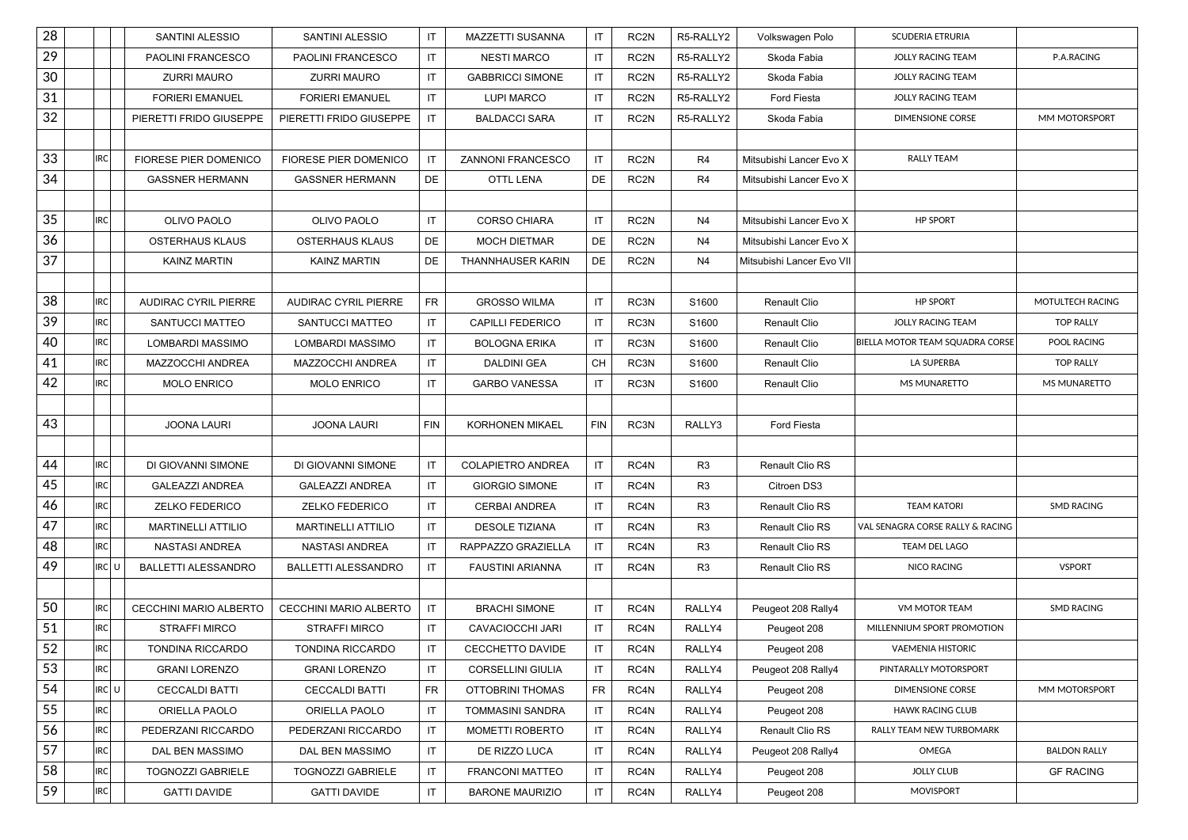| 28 |            | SANTINI ALESSIO             | SANTINI ALESSIO             | IT         | MAZZETTI SUSANNA         | IT         | RC <sub>2N</sub> | R5-RALLY2      | Volkswagen Polo           | SCUDERIA ETRURIA                 |                     |
|----|------------|-----------------------------|-----------------------------|------------|--------------------------|------------|------------------|----------------|---------------------------|----------------------------------|---------------------|
| 29 |            | PAOLINI FRANCESCO           | PAOLINI FRANCESCO           | IT         | <b>NESTI MARCO</b>       | IT         | RC <sub>2N</sub> | R5-RALLY2      | Skoda Fabia               | JOLLY RACING TEAM                | P.A.RACING          |
| 30 |            | <b>ZURRI MAURO</b>          | ZURRI MAURO                 | IT         | <b>GABBRICCI SIMONE</b>  | IT         | RC <sub>2N</sub> | R5-RALLY2      | Skoda Fabia               | <b>JOLLY RACING TEAM</b>         |                     |
| 31 |            | <b>FORIERI EMANUEL</b>      | <b>FORIERI EMANUEL</b>      | IT         | <b>LUPI MARCO</b>        | IT         | RC <sub>2N</sub> | R5-RALLY2      | Ford Fiesta               | JOLLY RACING TEAM                |                     |
| 32 |            | PIERETTI FRIDO GIUSEPPE     | PIERETTI FRIDO GIUSEPPE     | IT         | <b>BALDACCI SARA</b>     | IT         | RC <sub>2N</sub> | R5-RALLY2      | Skoda Fabia               | <b>DIMENSIONE CORSE</b>          | MM MOTORSPORT       |
|    |            |                             |                             |            |                          |            |                  |                |                           |                                  |                     |
| 33 | <b>IRC</b> | FIORESE PIER DOMENICO       | FIORESE PIER DOMENICO       | IT         | ZANNONI FRANCESCO        | IT         | RC <sub>2N</sub> | R4             | Mitsubishi Lancer Evo X   | <b>RALLY TEAM</b>                |                     |
| 34 |            | <b>GASSNER HERMANN</b>      | <b>GASSNER HERMANN</b>      | DE         | OTTL LENA                | DE         | RC <sub>2N</sub> | R <sub>4</sub> | Mitsubishi Lancer Evo X   |                                  |                     |
|    |            |                             |                             |            |                          |            |                  |                |                           |                                  |                     |
| 35 | <b>IRC</b> | OLIVO PAOLO                 | OLIVO PAOLO                 | IT         | <b>CORSO CHIARA</b>      | IT         | RC <sub>2N</sub> | N <sub>4</sub> | Mitsubishi Lancer Evo X   | <b>HP SPORT</b>                  |                     |
| 36 |            | <b>OSTERHAUS KLAUS</b>      | OSTERHAUS KLAUS             | DE         | <b>MOCH DIETMAR</b>      | DE         | RC <sub>2N</sub> | N4             | Mitsubishi Lancer Evo X   |                                  |                     |
| 37 |            | <b>KAINZ MARTIN</b>         | <b>KAINZ MARTIN</b>         | DE         | THANNHAUSER KARIN        | DE         | RC2N             | N4             | Mitsubishi Lancer Evo VII |                                  |                     |
|    |            |                             |                             |            |                          |            |                  |                |                           |                                  |                     |
| 38 | <b>IRC</b> | <b>AUDIRAC CYRIL PIERRE</b> | <b>AUDIRAC CYRIL PIERRE</b> | <b>FR</b>  | <b>GROSSO WILMA</b>      | IT         | RC3N             | S1600          | Renault Clio              | <b>HP SPORT</b>                  | MOTULTECH RACING    |
| 39 | <b>IRC</b> | SANTUCCI MATTEO             | SANTUCCI MATTEO             | IT         | <b>CAPILLI FEDERICO</b>  | IT         | RC3N             | S1600          | Renault Clio              | <b>JOLLY RACING TEAM</b>         | <b>TOP RALLY</b>    |
| 40 | <b>IRC</b> | LOMBARDI MASSIMO            | LOMBARDI MASSIMO            | IT         | <b>BOLOGNA ERIKA</b>     | IT         | RC3N             | S1600          | <b>Renault Clio</b>       | BIELLA MOTOR TEAM SQUADRA CORSE  | POOL RACING         |
| 41 | <b>IRC</b> | MAZZOCCHI ANDREA            | MAZZOCCHI ANDREA            | IT         | DALDINI GEA              | CH         | RC3N             | S1600          | Renault Clio              | LA SUPERBA                       | <b>TOP RALLY</b>    |
| 42 | <b>IRC</b> | <b>MOLO ENRICO</b>          | <b>MOLO ENRICO</b>          | IT         | <b>GARBO VANESSA</b>     | IT         | RC3N             | S1600          | Renault Clio              | MS MUNARETTO                     | MS MUNARETTO        |
|    |            |                             |                             |            |                          |            |                  |                |                           |                                  |                     |
| 43 |            | <b>JOONA LAURI</b>          | <b>JOONA LAURI</b>          | <b>FIN</b> | <b>KORHONEN MIKAEL</b>   | <b>FIN</b> | RC3N             | RALLY3         | Ford Fiesta               |                                  |                     |
|    |            |                             |                             |            |                          |            |                  |                |                           |                                  |                     |
| 44 | <b>IRC</b> | DI GIOVANNI SIMONE          | DI GIOVANNI SIMONE          | IT         | COLAPIETRO ANDREA        | IT         | RC4N             | R <sub>3</sub> | Renault Clio RS           |                                  |                     |
| 45 | <b>IRC</b> | <b>GALEAZZI ANDREA</b>      | <b>GALEAZZI ANDREA</b>      | IT         | <b>GIORGIO SIMONE</b>    | IT         | RC4N             | R <sub>3</sub> | Citroen DS3               |                                  |                     |
| 46 | <b>IRC</b> | <b>ZELKO FEDERICO</b>       | <b>ZELKO FEDERICO</b>       | IT         | <b>CERBAI ANDREA</b>     | IT         | RC4N             | R <sub>3</sub> | Renault Clio RS           | <b>TEAM KATORI</b>               | <b>SMD RACING</b>   |
| 47 | <b>IRC</b> | <b>MARTINELLI ATTILIO</b>   | <b>MARTINELLI ATTILIO</b>   | IT         | <b>DESOLE TIZIANA</b>    | IT         | RC4N             | R <sub>3</sub> | <b>Renault Clio RS</b>    | VAL SENAGRA CORSE RALLY & RACING |                     |
| 48 | <b>IRC</b> | NASTASI ANDREA              | <b>NASTASI ANDREA</b>       | IT         | RAPPAZZO GRAZIELLA       | IT         | RC4N             | R <sub>3</sub> | Renault Clio RS           | TEAM DEL LAGO                    |                     |
| 49 | IRC U      | <b>BALLETTI ALESSANDRO</b>  | <b>BALLETTI ALESSANDRO</b>  | IT         | <b>FAUSTINI ARIANNA</b>  | IT         | RC4N             | R <sub>3</sub> | Renault Clio RS           | <b>NICO RACING</b>               | <b>VSPORT</b>       |
|    |            |                             |                             |            |                          |            |                  |                |                           |                                  |                     |
| 50 | <b>IRC</b> | CECCHINI MARIO ALBERTO      | CECCHINI MARIO ALBERTO      | IT         | <b>BRACHI SIMONE</b>     | IT         | RC4N             | RALLY4         | Peugeot 208 Rally4        | VM MOTOR TEAM                    | <b>SMD RACING</b>   |
| 51 | <b>IRC</b> | <b>STRAFFI MIRCO</b>        | <b>STRAFFI MIRCO</b>        | IT         | CAVACIOCCHI JARI         | IT         | RC4N             | RALLY4         | Peugeot 208               | MILLENNIUM SPORT PROMOTION       |                     |
| 52 | <b>IRC</b> | <b>TONDINA RICCARDO</b>     | <b>TONDINA RICCARDO</b>     | IT         | CECCHETTO DAVIDE         | IT         | RC4N             | RALLY4         | Peugeot 208               | <b>VAEMENIA HISTORIC</b>         |                     |
| 53 | <b>IRC</b> | <b>GRANI LORENZO</b>        | <b>GRANI LORENZO</b>        | IT         | <b>CORSELLINI GIULIA</b> | IT         | RC4N             | RALLY4         | Peugeot 208 Rally4        | PINTARALLY MOTORSPORT            |                     |
| 54 | IRC U      | <b>CECCALDI BATTI</b>       | <b>CECCALDI BATTI</b>       | <b>FR</b>  | OTTOBRINI THOMAS         | <b>FR</b>  | RC4N             | RALLY4         | Peugeot 208               | <b>DIMENSIONE CORSE</b>          | MM MOTORSPORT       |
| 55 | <b>IRC</b> | ORIELLA PAOLO               | ORIELLA PAOLO               | IT         | TOMMASINI SANDRA         | IT         | RC4N             | RALLY4         | Peugeot 208               | <b>HAWK RACING CLUB</b>          |                     |
| 56 | <b>IRC</b> | PEDERZANI RICCARDO          | PEDERZANI RICCARDO          | IT         | MOMETTI ROBERTO          | IT         | RC4N             | RALLY4         | Renault Clio RS           | RALLY TEAM NEW TURBOMARK         |                     |
| 57 | <b>IRC</b> | DAL BEN MASSIMO             | DAL BEN MASSIMO             | IT         | DE RIZZO LUCA            | IT         | RC4N             | RALLY4         | Peugeot 208 Rally4        | OMEGA                            | <b>BALDON RALLY</b> |
| 58 | <b>IRC</b> | <b>TOGNOZZI GABRIELE</b>    | <b>TOGNOZZI GABRIELE</b>    | IT         | <b>FRANCONI MATTEO</b>   | IT         | RC4N             | RALLY4         | Peugeot 208               | <b>JOLLY CLUB</b>                | <b>GF RACING</b>    |
| 59 | <b>IRC</b> | <b>GATTI DAVIDE</b>         | <b>GATTI DAVIDE</b>         | IT         | <b>BARONE MAURIZIO</b>   | IT         | RC4N             | RALLY4         | Peugeot 208               | <b>MOVISPORT</b>                 |                     |
|    |            |                             |                             |            |                          |            |                  |                |                           |                                  |                     |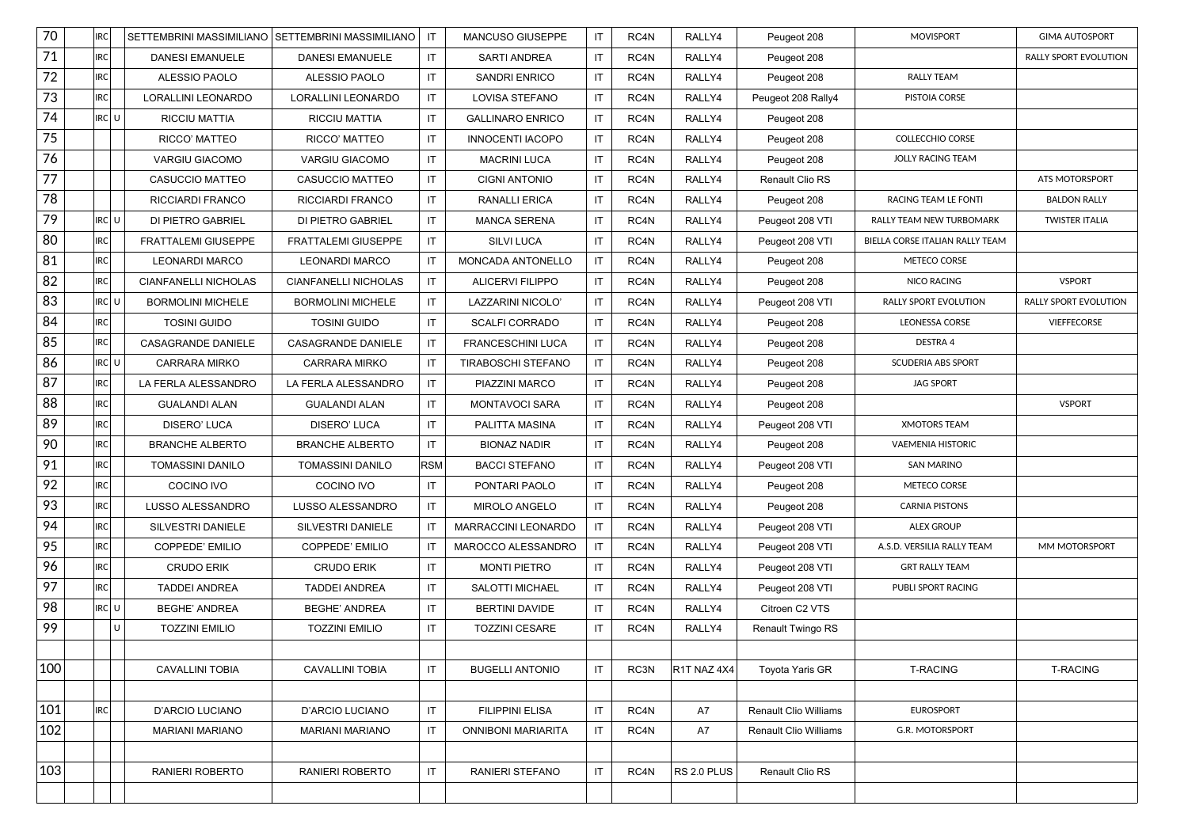| 70     | <b>IRC</b> |     | SETTEMBRINI MASSIMILIANO SETTEMBRINI MASSIMILIANO |                             | IT         | MANCUSO GIUSEPPE          | IT.                    | RC4N | RALLY4      | Peugeot 208                  | <b>MOVISPORT</b>                | <b>GIMA AUTOSPORT</b>        |
|--------|------------|-----|---------------------------------------------------|-----------------------------|------------|---------------------------|------------------------|------|-------------|------------------------------|---------------------------------|------------------------------|
| 71     | <b>IRC</b> |     | <b>DANESI EMANUELE</b>                            | <b>DANESI EMANUELE</b>      | IT         | SARTI ANDREA              | IT                     | RC4N | RALLY4      | Peugeot 208                  |                                 | RALLY SPORT EVOLUTION        |
| $72\,$ | <b>IRC</b> |     | ALESSIO PAOLO                                     | ALESSIO PAOLO               | IT         | SANDRI ENRICO             | IT                     | RC4N | RALLY4      | Peugeot 208                  | <b>RALLY TEAM</b>               |                              |
| 73     | IRC        |     | LORALLINI LEONARDO                                | LORALLINI LEONARDO          | IT         | LOVISA STEFANO            | IT                     | RC4N | RALLY4      | Peugeot 208 Rally4           | PISTOIA CORSE                   |                              |
| 74     | RC U       |     | <b>RICCIU MATTIA</b>                              | RICCIU MATTIA               | IT         | <b>GALLINARO ENRICO</b>   | $\sf IT$               | RC4N | RALLY4      | Peugeot 208                  |                                 |                              |
| 75     |            |     | RICCO' MATTEO                                     | RICCO' MATTEO               | IT         | <b>INNOCENTI IACOPO</b>   | IT                     | RC4N | RALLY4      | Peugeot 208                  | <b>COLLECCHIO CORSE</b>         |                              |
| 76     |            |     | <b>VARGIU GIACOMO</b>                             | <b>VARGIU GIACOMO</b>       | IT         | <b>MACRINI LUCA</b>       | IT                     | RC4N | RALLY4      | Peugeot 208                  | JOLLY RACING TEAM               |                              |
| 77     |            |     | <b>CASUCCIO MATTEO</b>                            | CASUCCIO MATTEO             | IT         | <b>CIGNI ANTONIO</b>      | IT                     | RC4N | RALLY4      | Renault Clio RS              |                                 | ATS MOTORSPORT               |
| 78     |            |     | RICCIARDI FRANCO                                  | RICCIARDI FRANCO            | IT         | <b>RANALLI ERICA</b>      | IT                     | RC4N | RALLY4      | Peugeot 208                  | RACING TEAM LE FONTI            | <b>BALDON RALLY</b>          |
| 79     | RC U       |     | <b>DI PIETRO GABRIEL</b>                          | DI PIETRO GABRIEL           | IT         | <b>MANCA SERENA</b>       | IT                     | RC4N | RALLY4      | Peugeot 208 VTI              | RALLY TEAM NEW TURBOMARK        | <b>TWISTER ITALIA</b>        |
| 80     | <b>IRC</b> |     | <b>FRATTALEMI GIUSEPPE</b>                        | FRATTALEMI GIUSEPPE         | IT.        | SILVI LUCA                | IT                     | RC4N | RALLY4      | Peugeot 208 VTI              | BIELLA CORSE ITALIAN RALLY TEAM |                              |
| 81     | <b>IRC</b> |     | <b>LEONARDI MARCO</b>                             | <b>LEONARDI MARCO</b>       | IT         | MONCADA ANTONELLO         | IT                     | RC4N | RALLY4      | Peugeot 208                  | METECO CORSE                    |                              |
| 82     | <b>IRC</b> |     | CIANFANELLI NICHOLAS                              | <b>CIANFANELLI NICHOLAS</b> | IT         | ALICERVI FILIPPO          | IT                     | RC4N | RALLY4      | Peugeot 208                  | <b>NICO RACING</b>              | <b>VSPORT</b>                |
| 83     | irc¦ u     |     | <b>BORMOLINI MICHELE</b>                          | <b>BORMOLINI MICHELE</b>    | IT         | LAZZARINI NICOLO'         | IT                     | RC4N | RALLY4      | Peugeot 208 VTI              | <b>RALLY SPORT EVOLUTION</b>    | <b>RALLY SPORT EVOLUTION</b> |
| 84     | IRC        |     | <b>TOSINI GUIDO</b>                               | <b>TOSINI GUIDO</b>         | IT         | <b>SCALFI CORRADO</b>     | IT                     | RC4N | RALLY4      | Peugeot 208                  | <b>LEONESSA CORSE</b>           | <b>VIEFFECORSE</b>           |
| 85     | IRC        |     | <b>CASAGRANDE DANIELE</b>                         | CASAGRANDE DANIELE          | IT.        | FRANCESCHINI LUCA         | IT                     | RC4N | RALLY4      | Peugeot 208                  | DESTRA 4                        |                              |
| 86     | RC U       |     | <b>CARRARA MIRKO</b>                              | <b>CARRARA MIRKO</b>        | IT         | TIRABOSCHI STEFANO        | IT                     | RC4N | RALLY4      | Peugeot 208                  | <b>SCUDERIA ABS SPORT</b>       |                              |
| 87     | <b>IRC</b> |     | LA FERLA ALESSANDRO                               | LA FERLA ALESSANDRO         | IT         | PIAZZINI MARCO            | IT                     | RC4N | RALLY4      | Peugeot 208                  | <b>JAG SPORT</b>                |                              |
| 88     | IRC        |     | <b>GUALANDI ALAN</b>                              | <b>GUALANDI ALAN</b>        | IT         | <b>MONTAVOCI SARA</b>     | IT                     | RC4N | RALLY4      | Peugeot 208                  |                                 | <b>VSPORT</b>                |
| 89     | <b>IRC</b> |     | DISERO' LUCA                                      | DISERO' LUCA                | IT         | PALITTA MASINA            | IT                     | RC4N | RALLY4      | Peugeot 208 VTI              | <b>XMOTORS TEAM</b>             |                              |
| 90     | IRC        |     | <b>BRANCHE ALBERTO</b>                            | <b>BRANCHE ALBERTO</b>      | IT.        | <b>BIONAZ NADIR</b>       | IT                     | RC4N | RALLY4      | Peugeot 208                  | <b>VAEMENIA HISTORIC</b>        |                              |
| 91     | <b>IRC</b> |     | <b>TOMASSINI DANILO</b>                           | TOMASSINI DANILO            | <b>RSM</b> | <b>BACCI STEFANO</b>      | IT                     | RC4N | RALLY4      | Peugeot 208 VTI              | <b>SAN MARINO</b>               |                              |
| 92     | <b>IRC</b> |     | COCINO IVO                                        | COCINO IVO                  | IT.        | PONTARI PAOLO             | IT                     | RC4N | RALLY4      | Peugeot 208                  | METECO CORSE                    |                              |
| 93     | IRC        |     | LUSSO ALESSANDRO                                  | LUSSO ALESSANDRO            | IT         | <b>MIROLO ANGELO</b>      | IT                     | RC4N | RALLY4      | Peugeot 208                  | <b>CARNIA PISTONS</b>           |                              |
| 94     | IRC        |     | SILVESTRI DANIELE                                 | SILVESTRI DANIELE           | IT         | MARRACCINI LEONARDO       | IT                     | RC4N | RALLY4      | Peugeot 208 VTI              | <b>ALEX GROUP</b>               |                              |
| 95     | <b>IRC</b> |     | COPPEDE' EMILIO                                   | COPPEDE' EMILIO             | IT         | MAROCCO ALESSANDRO        | IT                     | RC4N | RALLY4      | Peugeot 208 VTI              | A.S.D. VERSILIA RALLY TEAM      | MM MOTORSPORT                |
| 96     | IRC        |     | <b>CRUDO ERIK</b>                                 | <b>CRUDO ERIK</b>           | IT         | <b>MONTI PIETRO</b>       | IT                     | RC4N | RALLY4      | Peugeot 208 VTI              | <b>GRT RALLY TEAM</b>           |                              |
| 97     | <b>IRC</b> |     | <b>TADDEI ANDREA</b>                              | <b>TADDEI ANDREA</b>        | IT.        | <b>SALOTTI MICHAEL</b>    | IT                     | RC4N | RALLY4      | Peugeot 208 VTI              | PUBLI SPORT RACING              |                              |
| 98     | RC U       |     | <b>BEGHE' ANDREA</b>                              | <b>BEGHE' ANDREA</b>        | IT         | <b>BERTINI DAVIDE</b>     | IT                     | RC4N | RALLY4      | Citroen C2 VTS               |                                 |                              |
| 99     |            | l U | <b>TOZZINI EMILIO</b>                             | <b>TOZZINI EMILIO</b>       | IT         | <b>TOZZINI CESARE</b>     | IT                     | RC4N | RALLY4      | Renault Twingo RS            |                                 |                              |
|        |            |     |                                                   |                             |            |                           |                        |      |             |                              |                                 |                              |
| 100    |            |     | <b>CAVALLINI TOBIA</b>                            | <b>CAVALLINI TOBIA</b>      | IT         | <b>BUGELLI ANTONIO</b>    | IT                     | RC3N | R1T NAZ 4X4 | <b>Toyota Yaris GR</b>       | <b>T-RACING</b>                 | <b>T-RACING</b>              |
|        |            |     |                                                   |                             |            |                           |                        |      |             |                              |                                 |                              |
| 101    | <b>IRC</b> |     | <b>D'ARCIO LUCIANO</b>                            | D'ARCIO LUCIANO             | IT         | <b>FILIPPINI ELISA</b>    | $\mathsf{I}\mathsf{T}$ | RC4N | A7          | <b>Renault Clio Williams</b> | <b>EUROSPORT</b>                |                              |
| 102    |            |     | <b>MARIANI MARIANO</b>                            | <b>MARIANI MARIANO</b>      | IT         | <b>ONNIBONI MARIARITA</b> | IT                     | RC4N | A7          | <b>Renault Clio Williams</b> | G.R. MOTORSPORT                 |                              |
|        |            |     |                                                   |                             |            |                           |                        |      |             |                              |                                 |                              |
| 103    |            |     | RANIERI ROBERTO                                   | RANIERI ROBERTO             | IT         | RANIERI STEFANO           | IT                     | RC4N | RS 2.0 PLUS | Renault Clio RS              |                                 |                              |
|        |            |     |                                                   |                             |            |                           |                        |      |             |                              |                                 |                              |